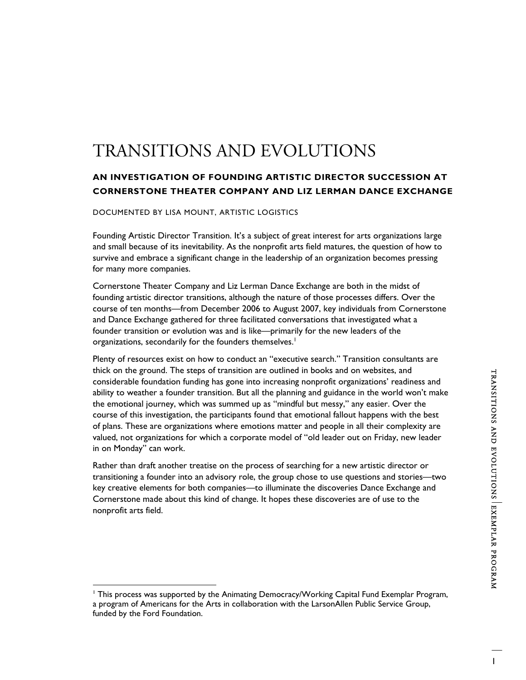# TRANSITIONS AND EVOLUTIONS

# **AN INVESTIGATION OF FOUNDING ARTISTIC DIRECTOR SUCCESSION AT CORNERSTONE THEATER COMPANY AND LIZ LERMAN DANCE EXCHANGE**

DOCUMENTED BY LISA MOUNT, ARTISTIC LOGISTICS

 $\overline{a}$ 

Founding Artistic Director Transition. It's a subject of great interest for arts organizations large and small because of its inevitability. As the nonprofit arts field matures, the question of how to survive and embrace a significant change in the leadership of an organization becomes pressing for many more companies.

Cornerstone Theater Company and Liz Lerman Dance Exchange are both in the midst of founding artistic director transitions, although the nature of those processes differs. Over the course of ten months—from December 2006 to August 2007, key individuals from Cornerstone and Dance Exchange gathered for three facilitated conversations that investigated what a founder transition or evolution was and is like—primarily for the new leaders of the organizations, secondarily for the founders themselves.<sup>1</sup>

Plenty of resources exist on how to conduct an "executive search." Transition consultants are thick on the ground. The steps of transition are outlined in books and on websites, and considerable foundation funding has gone into increasing nonprofit organizations' readiness and ability to weather a founder transition. But all the planning and guidance in the world won't make the emotional journey, which was summed up as "mindful but messy," any easier. Over the course of this investigation, the participants found that emotional fallout happens with the best of plans. These are organizations where emotions matter and people in all their complexity are valued, not organizations for which a corporate model of "old leader out on Friday, new leader in on Monday" can work.

Rather than draft another treatise on the process of searching for a new artistic director or transitioning a founder into an advisory role, the group chose to use questions and stories—two key creative elements for both companies—to illuminate the discoveries Dance Exchange and Cornerstone made about this kind of change. It hopes these discoveries are of use to the nonprofit arts field.

<sup>&</sup>lt;sup>1</sup> This process was supported by the Animating Democracy/Working Capital Fund Exemplar Program, a program of Americans for the Arts in collaboration with the LarsonAllen Public Service Group, funded by the Ford Foundation.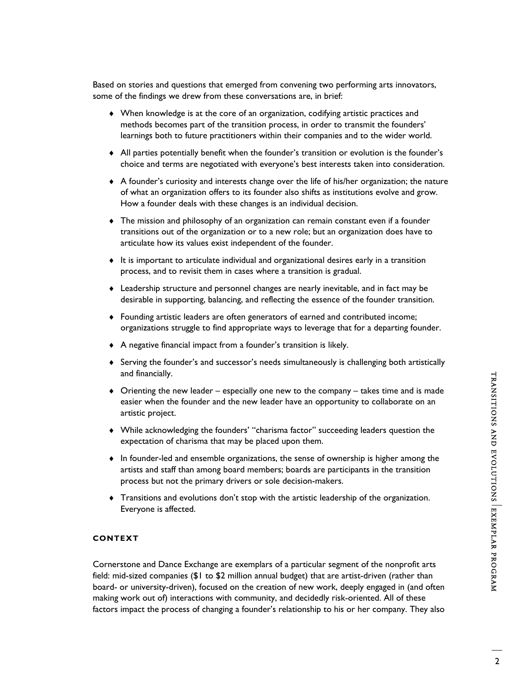Based on stories and questions that emerged from convening two performing arts innovators, some of the findings we drew from these conversations are, in brief:

- ♦ When knowledge is at the core of an organization, codifying artistic practices and methods becomes part of the transition process, in order to transmit the founders' learnings both to future practitioners within their companies and to the wider world.
- ♦ All parties potentially benefit when the founder's transition or evolution is the founder's choice and terms are negotiated with everyone's best interests taken into consideration.
- ♦ A founder's curiosity and interests change over the life of his/her organization; the nature of what an organization offers to its founder also shifts as institutions evolve and grow. How a founder deals with these changes is an individual decision.
- ♦ The mission and philosophy of an organization can remain constant even if a founder transitions out of the organization or to a new role; but an organization does have to articulate how its values exist independent of the founder.
- ♦ It is important to articulate individual and organizational desires early in a transition process, and to revisit them in cases where a transition is gradual.
- ♦ Leadership structure and personnel changes are nearly inevitable, and in fact may be desirable in supporting, balancing, and reflecting the essence of the founder transition.
- ♦ Founding artistic leaders are often generators of earned and contributed income; organizations struggle to find appropriate ways to leverage that for a departing founder.
- ♦ A negative financial impact from a founder's transition is likely.
- ♦ Serving the founder's and successor's needs simultaneously is challenging both artistically and financially.
- $\bullet$  Orienting the new leader especially one new to the company takes time and is made easier when the founder and the new leader have an opportunity to collaborate on an artistic project.
- ♦ While acknowledging the founders' "charisma factor" succeeding leaders question the expectation of charisma that may be placed upon them.
- ♦ In founder-led and ensemble organizations, the sense of ownership is higher among the artists and staff than among board members; boards are participants in the transition process but not the primary drivers or sole decision-makers.
- ♦ Transitions and evolutions don't stop with the artistic leadership of the organization. Everyone is affected.

# **CONTEXT**

Cornerstone and Dance Exchange are exemplars of a particular segment of the nonprofit arts field: mid-sized companies (\$1 to \$2 million annual budget) that are artist-driven (rather than board- or university-driven), focused on the creation of new work, deeply engaged in (and often making work out of) interactions with community, and decidedly risk-oriented. All of these factors impact the process of changing a founder's relationship to his or her company. They also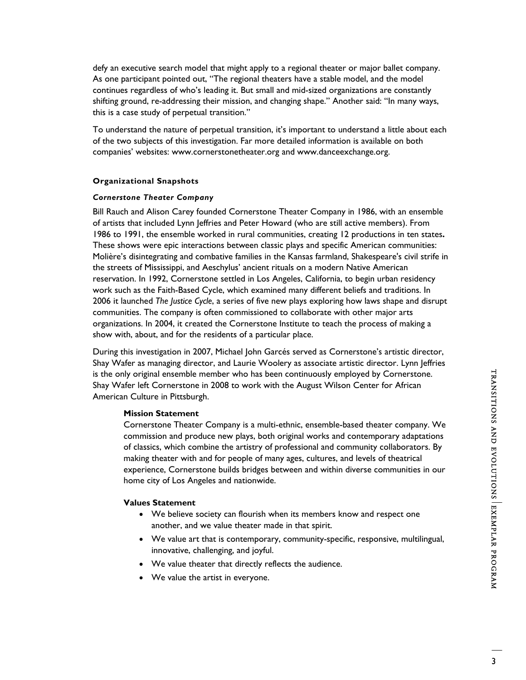defy an executive search model that might apply to a regional theater or major ballet company. As one participant pointed out, "The regional theaters have a stable model, and the model continues regardless of who's leading it. But small and mid-sized organizations are constantly shifting ground, re-addressing their mission, and changing shape." Another said: "In many ways, this is a case study of perpetual transition."

To understand the nature of perpetual transition, it's important to understand a little about each of the two subjects of this investigation. Far more detailed information is available on both companies' websites: www.cornerstonetheater.org and www.danceexchange.org.

## **Organizational Snapshots**

# *Cornerstone Theater Company*

Bill Rauch and Alison Carey founded Cornerstone Theater Company in 1986, with an ensemble of artists that included Lynn Jeffries and Peter Howard (who are still active members). From 1986 to 1991, the ensemble worked in rural communities, creating 12 productions in ten states**.** These shows were epic interactions between classic plays and specific American communities: Molière's disintegrating and combative families in the Kansas farmland, Shakespeare's civil strife in the streets of Mississippi, and Aeschylus' ancient rituals on a modern Native American reservation. In 1992, Cornerstone settled in Los Angeles, California, to begin urban residency work such as the Faith-Based Cycle, which examined many different beliefs and traditions. In 2006 it launched *The Justice Cycle*, a series of five new plays exploring how laws shape and disrupt communities. The company is often commissioned to collaborate with other major arts organizations. In 2004, it created the Cornerstone Institute to teach the process of making a show with, about, and for the residents of a particular place.

During this investigation in 2007, Michael John Garcés served as Cornerstone's artistic director, Shay Wafer as managing director, and Laurie Woolery as associate artistic director. Lynn Jeffries is the only original ensemble member who has been continuously employed by Cornerstone. Shay Wafer left Cornerstone in 2008 to work with the August Wilson Center for African American Culture in Pittsburgh.

## **Mission Statement**

Cornerstone Theater Company is a multi-ethnic, ensemble-based theater company. We commission and produce new plays, both original works and contemporary adaptations of classics, which combine the artistry of professional and community collaborators. By making theater with and for people of many ages, cultures, and levels of theatrical experience, Cornerstone builds bridges between and within diverse communities in our home city of Los Angeles and nationwide.

## **Values Statement**

- We believe society can flourish when its members know and respect one another, and we value theater made in that spirit.
- We value art that is contemporary, community-specific, responsive, multilingual, innovative, challenging, and joyful.
- We value theater that directly reflects the audience.
- We value the artist in everyone.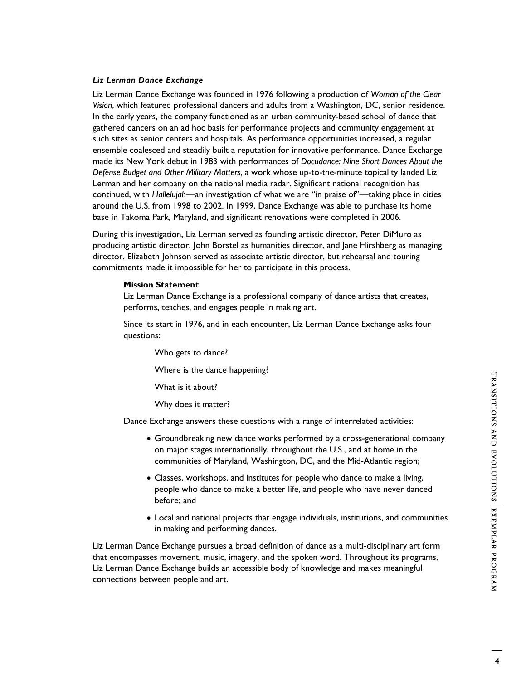## *Liz Lerman Dance Exchange*

Liz Lerman Dance Exchange was founded in 1976 following a production of *Woman of the Clear Vision*, which featured professional dancers and adults from a Washington, DC, senior residence. In the early years, the company functioned as an urban community-based school of dance that gathered dancers on an ad hoc basis for performance projects and community engagement at such sites as senior centers and hospitals. As performance opportunities increased, a regular ensemble coalesced and steadily built a reputation for innovative performance. Dance Exchange made its New York debut in 1983 with performances of *Docudance: Nine Short Dances About the Defense Budget and Other Military Matters*, a work whose up-to-the-minute topicality landed Liz Lerman and her company on the national media radar. Significant national recognition has continued, with *Hallelujah*—an investigation of what we are "in praise of"—taking place in cities around the U.S. from 1998 to 2002. In 1999, Dance Exchange was able to purchase its home base in Takoma Park, Maryland, and significant renovations were completed in 2006.

During this investigation, Liz Lerman served as founding artistic director, Peter DiMuro as producing artistic director, John Borstel as humanities director, and Jane Hirshberg as managing director. Elizabeth Johnson served as associate artistic director, but rehearsal and touring commitments made it impossible for her to participate in this process.

## **Mission Statement**

Liz Lerman Dance Exchange is a professional company of dance artists that creates, performs, teaches, and engages people in making art.

Since its start in 1976, and in each encounter, Liz Lerman Dance Exchange asks four questions:

Who gets to dance?

Where is the dance happening?

What is it about?

Why does it matter?

Dance Exchange answers these questions with a range of interrelated activities:

- Groundbreaking new dance works performed by a cross-generational company on major stages internationally, throughout the U.S., and at home in the communities of Maryland, Washington, DC, and the Mid-Atlantic region;
- Classes, workshops, and institutes for people who dance to make a living, people who dance to make a better life, and people who have never danced before; and
- Local and national projects that engage individuals, institutions, and communities in making and performing dances.

Liz Lerman Dance Exchange pursues a broad definition of dance as a multi-disciplinary art form that encompasses movement, music, imagery, and the spoken word. Throughout its programs, Liz Lerman Dance Exchange builds an accessible body of knowledge and makes meaningful connections between people and art.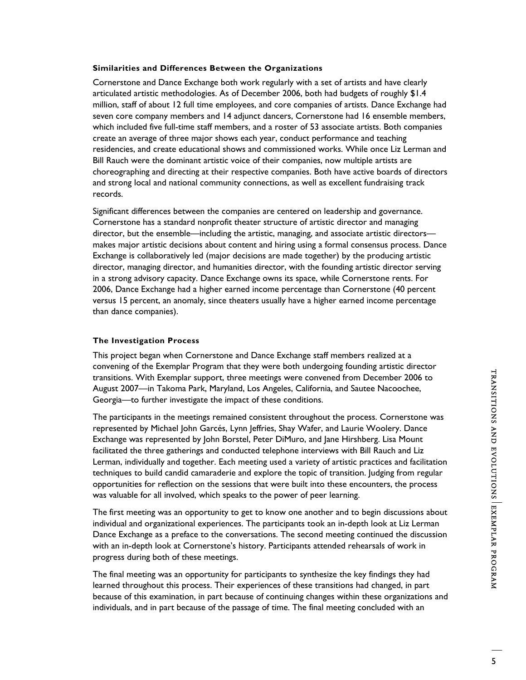## **Similarities and Differences Between the Organizations**

Cornerstone and Dance Exchange both work regularly with a set of artists and have clearly articulated artistic methodologies. As of December 2006, both had budgets of roughly \$1.4 million, staff of about 12 full time employees, and core companies of artists. Dance Exchange had seven core company members and 14 adjunct dancers, Cornerstone had 16 ensemble members, which included five full-time staff members, and a roster of 53 associate artists. Both companies create an average of three major shows each year, conduct performance and teaching residencies, and create educational shows and commissioned works. While once Liz Lerman and Bill Rauch were the dominant artistic voice of their companies, now multiple artists are choreographing and directing at their respective companies. Both have active boards of directors and strong local and national community connections, as well as excellent fundraising track records.

Significant differences between the companies are centered on leadership and governance. Cornerstone has a standard nonprofit theater structure of artistic director and managing director, but the ensemble—including the artistic, managing, and associate artistic directors makes major artistic decisions about content and hiring using a formal consensus process. Dance Exchange is collaboratively led (major decisions are made together) by the producing artistic director, managing director, and humanities director, with the founding artistic director serving in a strong advisory capacity. Dance Exchange owns its space, while Cornerstone rents. For 2006, Dance Exchange had a higher earned income percentage than Cornerstone (40 percent versus 15 percent, an anomaly, since theaters usually have a higher earned income percentage than dance companies).

## **The Investigation Process**

This project began when Cornerstone and Dance Exchange staff members realized at a convening of the Exemplar Program that they were both undergoing founding artistic director transitions. With Exemplar support, three meetings were convened from December 2006 to August 2007—in Takoma Park, Maryland, Los Angeles, California, and Sautee Nacoochee, Georgia—to further investigate the impact of these conditions.

The participants in the meetings remained consistent throughout the process. Cornerstone was represented by Michael John Garcés, Lynn Jeffries, Shay Wafer, and Laurie Woolery. Dance Exchange was represented by John Borstel, Peter DiMuro, and Jane Hirshberg. Lisa Mount facilitated the three gatherings and conducted telephone interviews with Bill Rauch and Liz Lerman, individually and together. Each meeting used a variety of artistic practices and facilitation techniques to build candid camaraderie and explore the topic of transition. Judging from regular opportunities for reflection on the sessions that were built into these encounters, the process was valuable for all involved, which speaks to the power of peer learning.

The first meeting was an opportunity to get to know one another and to begin discussions about individual and organizational experiences. The participants took an in-depth look at Liz Lerman Dance Exchange as a preface to the conversations. The second meeting continued the discussion with an in-depth look at Cornerstone's history. Participants attended rehearsals of work in progress during both of these meetings.

The final meeting was an opportunity for participants to synthesize the key findings they had learned throughout this process. Their experiences of these transitions had changed, in part because of this examination, in part because of continuing changes within these organizations and individuals, and in part because of the passage of time. The final meeting concluded with an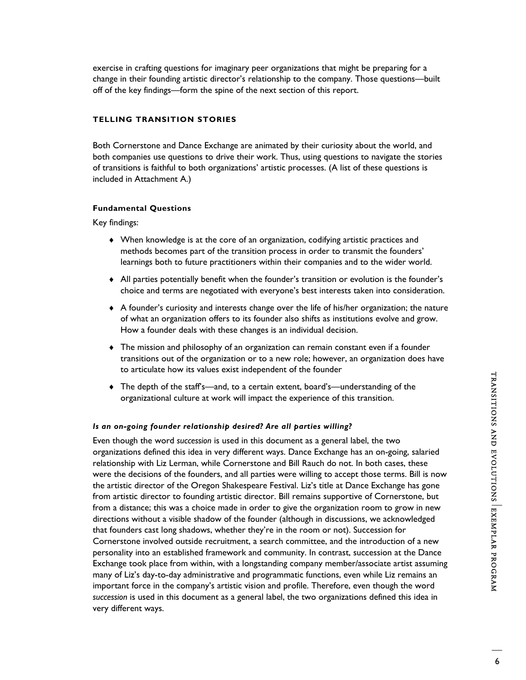exercise in crafting questions for imaginary peer organizations that might be preparing for a change in their founding artistic director's relationship to the company. Those questions—built off of the key findings—form the spine of the next section of this report.

## **TELLING TRANSITION STORIES**

Both Cornerstone and Dance Exchange are animated by their curiosity about the world, and both companies use questions to drive their work. Thus, using questions to navigate the stories of transitions is faithful to both organizations' artistic processes. (A list of these questions is included in Attachment A.)

## **Fundamental Questions**

Key findings:

- ♦ When knowledge is at the core of an organization, codifying artistic practices and methods becomes part of the transition process in order to transmit the founders' learnings both to future practitioners within their companies and to the wider world.
- ♦ All parties potentially benefit when the founder's transition or evolution is the founder's choice and terms are negotiated with everyone's best interests taken into consideration.
- ♦ A founder's curiosity and interests change over the life of his/her organization; the nature of what an organization offers to its founder also shifts as institutions evolve and grow. How a founder deals with these changes is an individual decision.
- ♦ The mission and philosophy of an organization can remain constant even if a founder transitions out of the organization or to a new role; however, an organization does have to articulate how its values exist independent of the founder
- ♦ The depth of the staff's—and, to a certain extent, board's—understanding of the organizational culture at work will impact the experience of this transition.

#### *Is an on-going founder relationship desired? Are all parties willing?*

Even though the word *succession* is used in this document as a general label, the two organizations defined this idea in very different ways. Dance Exchange has an on-going, salaried relationship with Liz Lerman, while Cornerstone and Bill Rauch do not. In both cases, these were the decisions of the founders, and all parties were willing to accept those terms. Bill is now the artistic director of the Oregon Shakespeare Festival. Liz's title at Dance Exchange has gone from artistic director to founding artistic director. Bill remains supportive of Cornerstone, but from a distance; this was a choice made in order to give the organization room to grow in new directions without a visible shadow of the founder (although in discussions, we acknowledged that founders cast long shadows, whether they're in the room or not). Succession for Cornerstone involved outside recruitment, a search committee, and the introduction of a new personality into an established framework and community. In contrast, succession at the Dance Exchange took place from within, with a longstanding company member/associate artist assuming many of Liz's day-to-day administrative and programmatic functions, even while Liz remains an important force in the company's artistic vision and profile. Therefore, even though the word *succession* is used in this document as a general label, the two organizations defined this idea in very different ways.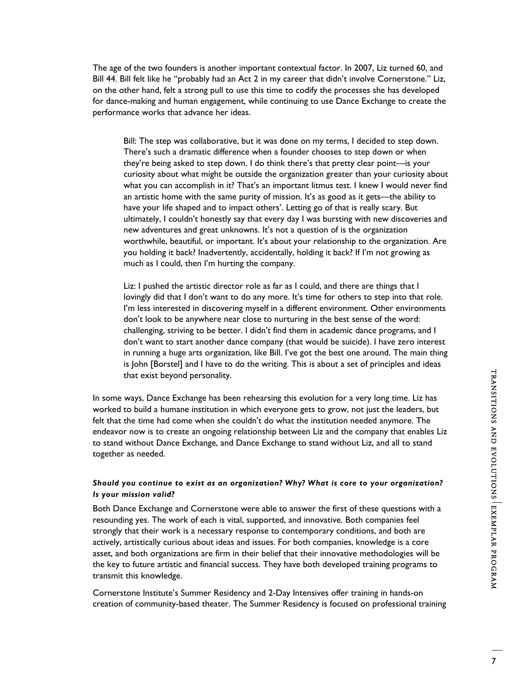The age of the two founders is another important contextual factor. In 2007, Liz turned 60, and Bill 44. Bill felt like he "probably had an Act 2 in my career that didn't involve Cornerstone." Liz, on the other hand, felt a strong pull to use this time to codify the processes she has developed for dance-making and human engagement, while continuing to use Dance Exchange to create the performance works that advance her ideas.

Bill: The step was collaborative, but it was done on my terms, I decided to step down. There's such a dramatic difference when a founder chooses to step down or when they're being asked to step down. I do think there's that pretty clear point—is your curiosity about what might be outside the organization greater than your curiosity about what you can accomplish in it? That's an important litmus test. I knew I would never find an artistic home with the same purity of mission. It's as good as it gets—the ability to have your life shaped and to impact others'. Letting go of that is really scary. But ultimately, I couldn't honestly say that every day I was bursting with new discoveries and new adventures and great unknowns. It's not a question of is the organization worthwhile, beautiful, or important. It's about your relationship to the organization. Are you holding it back? Inadvertently, accidentally, holding it back? If I'm not growing as much as I could, then I'm hurting the company.

Liz: I pushed the artistic director role as far as I could, and there are things that I lovingly did that I don't want to do any more. It's time for others to step into that role. I'm less interested in discovering myself in a different environment. Other environments don't look to be anywhere near close to nurturing in the best sense of the word: challenging, striving to be better. I didn't find them in academic dance programs, and I don't want to start another dance company (that would be suicide). I have zero interest in running a huge arts organization, like Bill. I've got the best one around. The main thing is John [Borstel] and I have to do the writing. This is about a set of principles and ideas that exist beyond personality.

In some ways, Dance Exchange has been rehearsing this evolution for a very long time. Liz has worked to build a humane institution in which everyone gets to grow, not just the leaders, but felt that the time had come when she couldn't do what the institution needed anymore. The endeavor now is to create an ongoing relationship between Liz and the company that enables Liz to stand without Dance Exchange, and Dance Exchange to stand without Liz, and all to stand together as needed.

# *Should you continue to exist as an organization? Why? What is core to your organization? Is your mission valid?*

Both Dance Exchange and Cornerstone were able to answer the first of these questions with a resounding yes. The work of each is vital, supported, and innovative. Both companies feel strongly that their work is a necessary response to contemporary conditions, and both are actively, artistically curious about ideas and issues. For both companies, knowledge is a core asset, and both organizations are firm in their belief that their innovative methodologies will be the key to future artistic and financial success. They have both developed training programs to transmit this knowledge.

Cornerstone Institute's Summer Residency and 2-Day Intensives offer training in hands-on creation of community-based theater. The Summer Residency is focused on professional training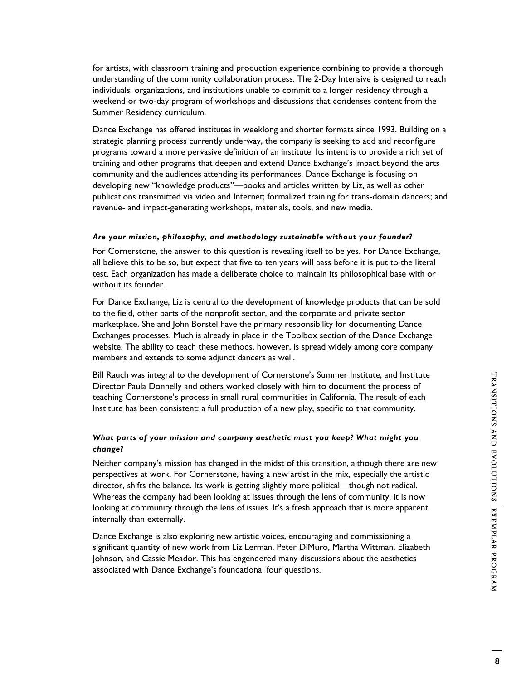for artists, with classroom training and production experience combining to provide a thorough understanding of the community collaboration process. The 2-Day Intensive is designed to reach individuals, organizations, and institutions unable to commit to a longer residency through a weekend or two-day program of workshops and discussions that condenses content from the Summer Residency curriculum.

Dance Exchange has offered institutes in weeklong and shorter formats since 1993. Building on a strategic planning process currently underway, the company is seeking to add and reconfigure programs toward a more pervasive definition of an institute. Its intent is to provide a rich set of training and other programs that deepen and extend Dance Exchange's impact beyond the arts community and the audiences attending its performances. Dance Exchange is focusing on developing new "knowledge products"—books and articles written by Liz, as well as other publications transmitted via video and Internet; formalized training for trans-domain dancers; and revenue- and impact-generating workshops, materials, tools, and new media.

## *Are your mission, philosophy, and methodology sustainable without your founder?*

For Cornerstone, the answer to this question is revealing itself to be yes. For Dance Exchange, all believe this to be so, but expect that five to ten years will pass before it is put to the literal test. Each organization has made a deliberate choice to maintain its philosophical base with or without its founder.

For Dance Exchange, Liz is central to the development of knowledge products that can be sold to the field, other parts of the nonprofit sector, and the corporate and private sector marketplace. She and John Borstel have the primary responsibility for documenting Dance Exchanges processes. Much is already in place in the Toolbox section of the Dance Exchange website. The ability to teach these methods, however, is spread widely among core company members and extends to some adjunct dancers as well.

Bill Rauch was integral to the development of Cornerstone's Summer Institute, and Institute Director Paula Donnelly and others worked closely with him to document the process of teaching Cornerstone's process in small rural communities in California. The result of each Institute has been consistent: a full production of a new play, specific to that community.

# *What parts of your mission and company aesthetic must you keep? What might you change?*

Neither company's mission has changed in the midst of this transition, although there are new perspectives at work. For Cornerstone, having a new artist in the mix, especially the artistic director, shifts the balance. Its work is getting slightly more political—though not radical. Whereas the company had been looking at issues through the lens of community, it is now looking at community through the lens of issues. It's a fresh approach that is more apparent internally than externally.

Dance Exchange is also exploring new artistic voices, encouraging and commissioning a significant quantity of new work from Liz Lerman, Peter DiMuro, Martha Wittman, Elizabeth Johnson, and Cassie Meador. This has engendered many discussions about the aesthetics associated with Dance Exchange's foundational four questions.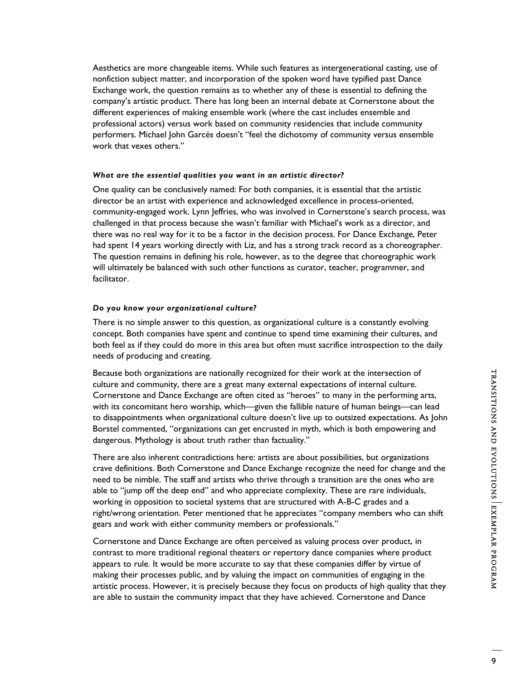Aesthetics are more changeable items. While such features as intergenerational casting, use of nonfiction subject matter, and incorporation of the spoken word have typified past Dance Exchange work, the question remains as to whether any of these is essential to defining the company's artistic product. There has long been an internal debate at Cornerstone about the different experiences of making ensemble work (where the cast includes ensemble and professional actors) versus work based on community residencies that include community performers. Michael John Garcés doesn't "feel the dichotomy of community versus ensemble work that vexes others."

## *What are the essential qualities you want in an artistic director?*

One quality can be conclusively named: For both companies, it is essential that the artistic director be an artist with experience and acknowledged excellence in process-oriented, community-engaged work. Lynn Jeffries, who was involved in Cornerstone's search process, was challenged in that process because she wasn't familiar with Michael's work as a director, and there was no real way for it to be a factor in the decision process. For Dance Exchange, Peter had spent 14 years working directly with Liz, and has a strong track record as a choreographer. The question remains in defining his role, however, as to the degree that choreographic work will ultimately be balanced with such other functions as curator, teacher, programmer, and facilitator.

#### *Do you know your organizational culture?*

There is no simple answer to this question, as organizational culture is a constantly evolving concept. Both companies have spent and continue to spend time examining their cultures, and both feel as if they could do more in this area but often must sacrifice introspection to the daily needs of producing and creating.

Because both organizations are nationally recognized for their work at the intersection of culture and community, there are a great many external expectations of internal culture. Cornerstone and Dance Exchange are often cited as "heroes" to many in the performing arts, with its concomitant hero worship, which—given the fallible nature of human beings—can lead to disappointments when organizational culture doesn't live up to outsized expectations. As John Borstel commented, "organizations can get encrusted in myth, which is both empowering and dangerous. Mythology is about truth rather than factuality."

There are also inherent contradictions here: artists are about possibilities, but organizations crave definitions. Both Cornerstone and Dance Exchange recognize the need for change and the need to be nimble. The staff and artists who thrive through a transition are the ones who are able to "jump off the deep end" and who appreciate complexity. These are rare individuals, working in opposition to societal systems that are structured with A-B-C grades and a right/wrong orientation. Peter mentioned that he appreciates "company members who can shift gears and work with either community members or professionals."

Cornerstone and Dance Exchange are often perceived as valuing process over product, in contrast to more traditional regional theaters or repertory dance companies where product appears to rule. It would be more accurate to say that these companies differ by virtue of making their processes public, and by valuing the impact on communities of engaging in the artistic process. However, it is precisely because they focus on products of high quality that they are able to sustain the community impact that they have achieved. Cornerstone and Dance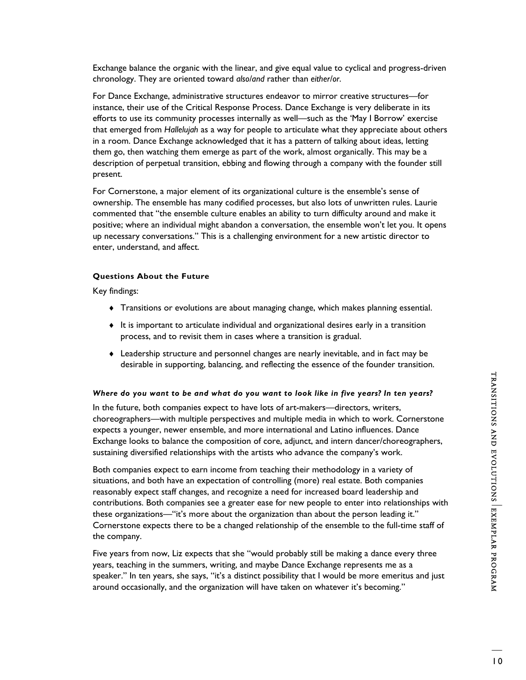Exchange balance the organic with the linear, and give equal value to cyclical and progress-driven chronology. They are oriented toward *also/and* rather than *either/or*.

For Dance Exchange, administrative structures endeavor to mirror creative structures—for instance, their use of the Critical Response Process. Dance Exchange is very deliberate in its efforts to use its community processes internally as well—such as the 'May I Borrow' exercise that emerged from *Hallelujah* as a way for people to articulate what they appreciate about others in a room. Dance Exchange acknowledged that it has a pattern of talking about ideas, letting them go, then watching them emerge as part of the work, almost organically. This may be a description of perpetual transition, ebbing and flowing through a company with the founder still present.

For Cornerstone, a major element of its organizational culture is the ensemble's sense of ownership. The ensemble has many codified processes, but also lots of unwritten rules. Laurie commented that "the ensemble culture enables an ability to turn difficulty around and make it positive; where an individual might abandon a conversation, the ensemble won't let you. It opens up necessary conversations." This is a challenging environment for a new artistic director to enter, understand, and affect.

## **Questions About the Future**

Key findings:

- ♦ Transitions or evolutions are about managing change, which makes planning essential.
- ♦ It is important to articulate individual and organizational desires early in a transition process, and to revisit them in cases where a transition is gradual.
- ♦ Leadership structure and personnel changes are nearly inevitable, and in fact may be desirable in supporting, balancing, and reflecting the essence of the founder transition.

## *Where do you want to be and what do you want to look like in five years? In ten years?*

In the future, both companies expect to have lots of art-makers—directors, writers, choreographers—with multiple perspectives and multiple media in which to work. Cornerstone expects a younger, newer ensemble, and more international and Latino influences. Dance Exchange looks to balance the composition of core, adjunct, and intern dancer/choreographers, sustaining diversified relationships with the artists who advance the company's work.

Both companies expect to earn income from teaching their methodology in a variety of situations, and both have an expectation of controlling (more) real estate. Both companies reasonably expect staff changes, and recognize a need for increased board leadership and contributions. Both companies see a greater ease for new people to enter into relationships with these organizations—"it's more about the organization than about the person leading it." Cornerstone expects there to be a changed relationship of the ensemble to the full-time staff of the company.

Five years from now, Liz expects that she "would probably still be making a dance every three years, teaching in the summers, writing, and maybe Dance Exchange represents me as a speaker." In ten years, she says, "it's a distinct possibility that I would be more emeritus and just around occasionally, and the organization will have taken on whatever it's becoming."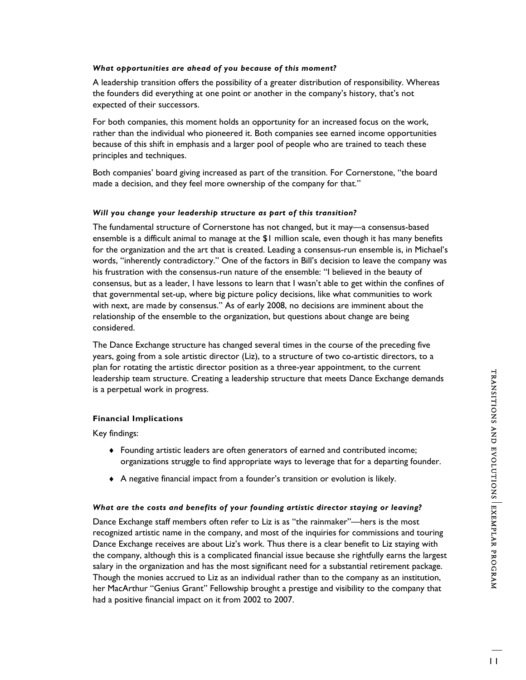## *What opportunities are ahead of you because of this moment?*

A leadership transition offers the possibility of a greater distribution of responsibility. Whereas the founders did everything at one point or another in the company's history, that's not expected of their successors.

For both companies, this moment holds an opportunity for an increased focus on the work, rather than the individual who pioneered it. Both companies see earned income opportunities because of this shift in emphasis and a larger pool of people who are trained to teach these principles and techniques.

Both companies' board giving increased as part of the transition. For Cornerstone, "the board made a decision, and they feel more ownership of the company for that."

## *Will you change your leadership structure as part of this transition?*

The fundamental structure of Cornerstone has not changed, but it may—a consensus-based ensemble is a difficult animal to manage at the \$1 million scale, even though it has many benefits for the organization and the art that is created. Leading a consensus-run ensemble is, in Michael's words, "inherently contradictory." One of the factors in Bill's decision to leave the company was his frustration with the consensus-run nature of the ensemble: "I believed in the beauty of consensus, but as a leader, I have lessons to learn that I wasn't able to get within the confines of that governmental set-up, where big picture policy decisions, like what communities to work with next, are made by consensus." As of early 2008, no decisions are imminent about the relationship of the ensemble to the organization, but questions about change are being considered.

The Dance Exchange structure has changed several times in the course of the preceding five years, going from a sole artistic director (Liz), to a structure of two co-artistic directors, to a plan for rotating the artistic director position as a three-year appointment, to the current leadership team structure. Creating a leadership structure that meets Dance Exchange demands is a perpetual work in progress.

# **Financial Implications**

Key findings:

- ♦ Founding artistic leaders are often generators of earned and contributed income; organizations struggle to find appropriate ways to leverage that for a departing founder.
- ♦ A negative financial impact from a founder's transition or evolution is likely.

# *What are the costs and benefits of your founding artistic director staying or leaving?*

Dance Exchange staff members often refer to Liz is as "the rainmaker"—hers is the most recognized artistic name in the company, and most of the inquiries for commissions and touring Dance Exchange receives are about Liz's work. Thus there is a clear benefit to Liz staying with the company, although this is a complicated financial issue because she rightfully earns the largest salary in the organization and has the most significant need for a substantial retirement package. Though the monies accrued to Liz as an individual rather than to the company as an institution, her MacArthur "Genius Grant" Fellowship brought a prestige and visibility to the company that had a positive financial impact on it from 2002 to 2007.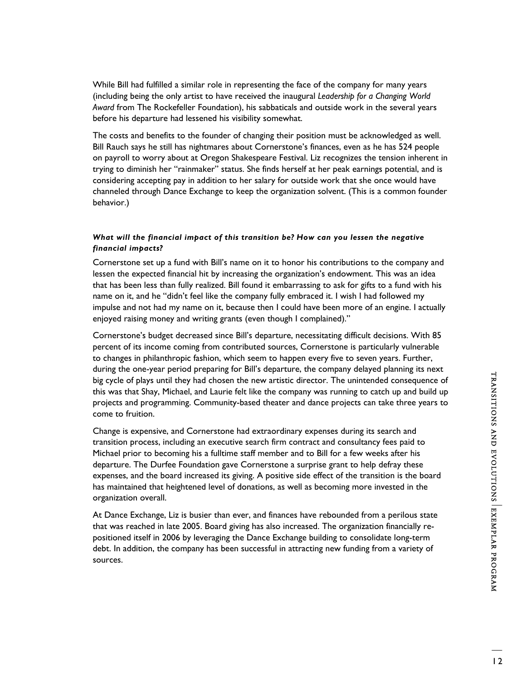While Bill had fulfilled a similar role in representing the face of the company for many years (including being the only artist to have received the inaugural *Leadership for a Changing World Award* from The Rockefeller Foundation), his sabbaticals and outside work in the several years before his departure had lessened his visibility somewhat.

The costs and benefits to the founder of changing their position must be acknowledged as well. Bill Rauch says he still has nightmares about Cornerstone's finances, even as he has 524 people on payroll to worry about at Oregon Shakespeare Festival. Liz recognizes the tension inherent in trying to diminish her "rainmaker" status. She finds herself at her peak earnings potential, and is considering accepting pay in addition to her salary for outside work that she once would have channeled through Dance Exchange to keep the organization solvent. (This is a common founder behavior.)

# *What will the financial impact of this transition be? How can you lessen the negative financial impacts?*

Cornerstone set up a fund with Bill's name on it to honor his contributions to the company and lessen the expected financial hit by increasing the organization's endowment. This was an idea that has been less than fully realized. Bill found it embarrassing to ask for gifts to a fund with his name on it, and he "didn't feel like the company fully embraced it. I wish I had followed my impulse and not had my name on it, because then I could have been more of an engine. I actually enjoyed raising money and writing grants (even though I complained)."

Cornerstone's budget decreased since Bill's departure, necessitating difficult decisions. With 85 percent of its income coming from contributed sources, Cornerstone is particularly vulnerable to changes in philanthropic fashion, which seem to happen every five to seven years. Further, during the one-year period preparing for Bill's departure, the company delayed planning its next big cycle of plays until they had chosen the new artistic director. The unintended consequence of this was that Shay, Michael, and Laurie felt like the company was running to catch up and build up projects and programming. Community-based theater and dance projects can take three years to come to fruition.

Change is expensive, and Cornerstone had extraordinary expenses during its search and transition process, including an executive search firm contract and consultancy fees paid to Michael prior to becoming his a fulltime staff member and to Bill for a few weeks after his departure. The Durfee Foundation gave Cornerstone a surprise grant to help defray these expenses, and the board increased its giving. A positive side effect of the transition is the board has maintained that heightened level of donations, as well as becoming more invested in the organization overall.

At Dance Exchange, Liz is busier than ever, and finances have rebounded from a perilous state that was reached in late 2005. Board giving has also increased. The organization financially repositioned itself in 2006 by leveraging the Dance Exchange building to consolidate long-term debt. In addition, the company has been successful in attracting new funding from a variety of sources.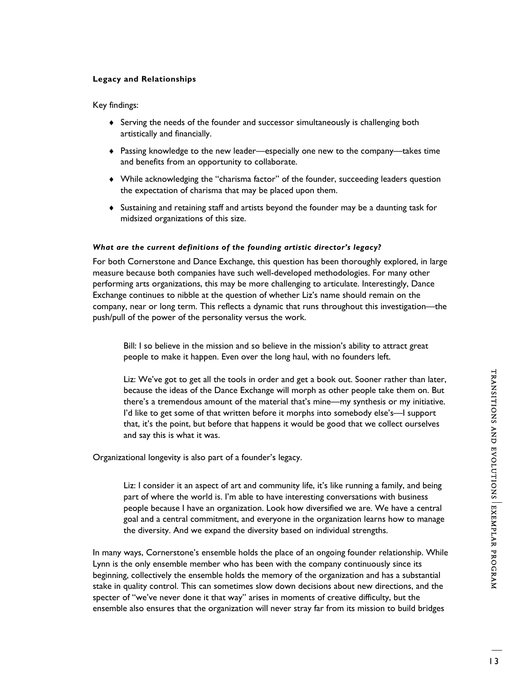# **Legacy and Relationships**

# Key findings:

- ♦ Serving the needs of the founder and successor simultaneously is challenging both artistically and financially.
- ♦ Passing knowledge to the new leader—especially one new to the company—takes time and benefits from an opportunity to collaborate.
- ♦ While acknowledging the "charisma factor" of the founder, succeeding leaders question the expectation of charisma that may be placed upon them.
- ♦ Sustaining and retaining staff and artists beyond the founder may be a daunting task for midsized organizations of this size.

# *What are the current definitions of the founding artistic director's legacy?*

For both Cornerstone and Dance Exchange, this question has been thoroughly explored, in large measure because both companies have such well-developed methodologies. For many other performing arts organizations, this may be more challenging to articulate. Interestingly, Dance Exchange continues to nibble at the question of whether Liz's name should remain on the company, near or long term. This reflects a dynamic that runs throughout this investigation—the push/pull of the power of the personality versus the work.

Bill: I so believe in the mission and so believe in the mission's ability to attract great people to make it happen. Even over the long haul, with no founders left.

Liz: We've got to get all the tools in order and get a book out. Sooner rather than later, because the ideas of the Dance Exchange will morph as other people take them on. But there's a tremendous amount of the material that's mine—my synthesis or my initiative. I'd like to get some of that written before it morphs into somebody else's—I support that, it's the point, but before that happens it would be good that we collect ourselves and say this is what it was.

Organizational longevity is also part of a founder's legacy.

Liz: I consider it an aspect of art and community life, it's like running a family, and being part of where the world is. I'm able to have interesting conversations with business people because I have an organization. Look how diversified we are. We have a central goal and a central commitment, and everyone in the organization learns how to manage the diversity. And we expand the diversity based on individual strengths.

In many ways, Cornerstone's ensemble holds the place of an ongoing founder relationship. While Lynn is the only ensemble member who has been with the company continuously since its beginning, collectively the ensemble holds the memory of the organization and has a substantial stake in quality control. This can sometimes slow down decisions about new directions, and the specter of "we've never done it that way" arises in moments of creative difficulty, but the ensemble also ensures that the organization will never stray far from its mission to build bridges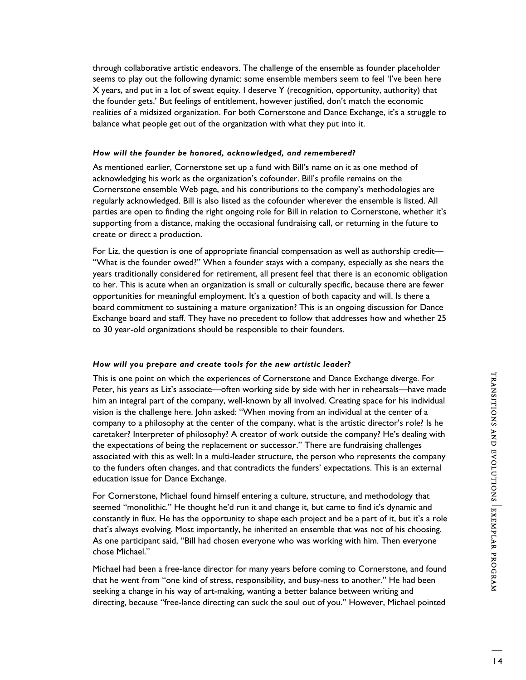seems to play out the following dynamic: some ensemble members seem to feel 'I've been here X years, and put in a lot of sweat equity. I deserve Y (recognition, opportunity, authority) that the founder gets.' But feelings of entitlement, however justified, don't match the economic realities of a midsized organization. For both Cornerstone and Dance Exchange, it's a struggle to balance what people get out of the organization with what they put into it. *How will the founder be honored, acknowledged, and remembered?* 

As mentioned earlier, Cornerstone set up a fund with Bill's name on it as one method of acknowledging his work as the organization's cofounder. Bill's profile remains on the Cornerstone ensemble Web page, and his contributions to the company's methodologies are regularly acknowledged. Bill is also listed as the cofounder wherever the ensemble is listed. All parties are open to finding the right ongoing role for Bill in relation to Cornerstone, whether it's supporting from a distance, making the occasional fundraising call, or returning in the future to create or direct a production.

through collaborative artistic endeavors. The challenge of the ensemble as founder placeholder

For Liz, the question is one of appropriate financial compensation as well as authorship credit— "What is the founder owed?" When a founder stays with a company, especially as she nears the years traditionally considered for retirement, all present feel that there is an economic obligation to her. This is acute when an organization is small or culturally specific, because there are fewer opportunities for meaningful employment. It's a question of both capacity and will. Is there a board commitment to sustaining a mature organization? This is an ongoing discussion for Dance Exchange board and staff. They have no precedent to follow that addresses how and whether 25 to 30 year-old organizations should be responsible to their founders.

# *How will you prepare and create tools for the new artistic leader?*

This is one point on which the experiences of Cornerstone and Dance Exchange diverge. For Peter, his years as Liz's associate—often working side by side with her in rehearsals—have made him an integral part of the company, well-known by all involved. Creating space for his individual vision is the challenge here. John asked: "When moving from an individual at the center of a company to a philosophy at the center of the company, what is the artistic director's role? Is he caretaker? Interpreter of philosophy? A creator of work outside the company? He's dealing with the expectations of being the replacement or successor." There are fundraising challenges associated with this as well: In a multi-leader structure, the person who represents the company to the funders often changes, and that contradicts the funders' expectations. This is an external education issue for Dance Exchange.

For Cornerstone, Michael found himself entering a culture, structure, and methodology that seemed "monolithic." He thought he'd run it and change it, but came to find it's dynamic and constantly in flux. He has the opportunity to shape each project and be a part of it, but it's a role that's always evolving. Most importantly, he inherited an ensemble that was not of his choosing. As one participant said, "Bill had chosen everyone who was working with him. Then everyone chose Michael."

Michael had been a free-lance director for many years before coming to Cornerstone, and found that he went from "one kind of stress, responsibility, and busy-ness to another." He had been seeking a change in his way of art-making, wanting a better balance between writing and directing, because "free-lance directing can suck the soul out of you." However, Michael pointed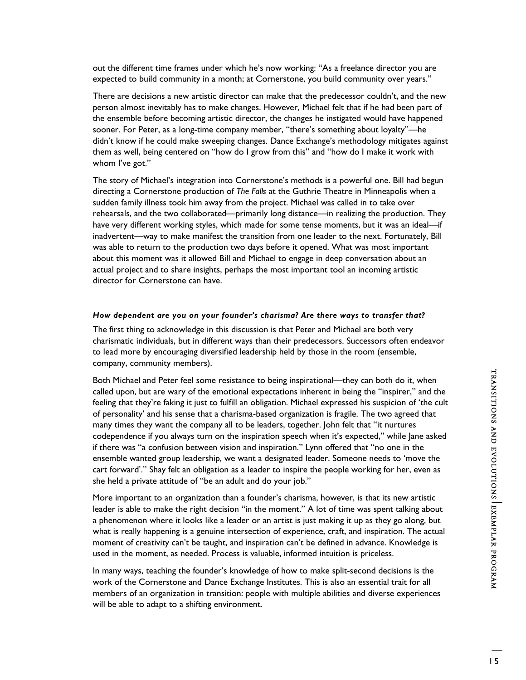out the different time frames under which he's now working: "As a freelance director you are expected to build community in a month; at Cornerstone, you build community over years."

There are decisions a new artistic director can make that the predecessor couldn't, and the new person almost inevitably has to make changes. However, Michael felt that if he had been part of the ensemble before becoming artistic director, the changes he instigated would have happened sooner. For Peter, as a long-time company member, "there's something about loyalty"—he didn't know if he could make sweeping changes. Dance Exchange's methodology mitigates against them as well, being centered on "how do I grow from this" and "how do I make it work with whom I've got."

The story of Michael's integration into Cornerstone's methods is a powerful one. Bill had begun directing a Cornerstone production of *The Falls* at the Guthrie Theatre in Minneapolis when a sudden family illness took him away from the project. Michael was called in to take over rehearsals, and the two collaborated—primarily long distance—in realizing the production. They have very different working styles, which made for some tense moments, but it was an ideal—if inadvertent—way to make manifest the transition from one leader to the next. Fortunately, Bill was able to return to the production two days before it opened. What was most important about this moment was it allowed Bill and Michael to engage in deep conversation about an actual project and to share insights, perhaps the most important tool an incoming artistic director for Cornerstone can have.

#### *How dependent are you on your founder's charisma? Are there ways to transfer that?*

The first thing to acknowledge in this discussion is that Peter and Michael are both very charismatic individuals, but in different ways than their predecessors. Successors often endeavor to lead more by encouraging diversified leadership held by those in the room (ensemble, company, community members).

Both Michael and Peter feel some resistance to being inspirational—they can both do it, when called upon, but are wary of the emotional expectations inherent in being the "inspirer," and the feeling that they're faking it just to fulfill an obligation. Michael expressed his suspicion of 'the cult of personality' and his sense that a charisma-based organization is fragile. The two agreed that many times they want the company all to be leaders, together. John felt that "it nurtures codependence if you always turn on the inspiration speech when it's expected," while Jane asked if there was "a confusion between vision and inspiration." Lynn offered that "no one in the ensemble wanted group leadership, we want a designated leader. Someone needs to 'move the cart forward'." Shay felt an obligation as a leader to inspire the people working for her, even as she held a private attitude of "be an adult and do your job."

More important to an organization than a founder's charisma, however, is that its new artistic leader is able to make the right decision "in the moment." A lot of time was spent talking about a phenomenon where it looks like a leader or an artist is just making it up as they go along, but what is really happening is a genuine intersection of experience, craft, and inspiration. The actual moment of creativity can't be taught, and inspiration can't be defined in advance. Knowledge is used in the moment, as needed. Process is valuable, informed intuition is priceless.

In many ways, teaching the founder's knowledge of how to make split-second decisions is the work of the Cornerstone and Dance Exchange Institutes. This is also an essential trait for all members of an organization in transition: people with multiple abilities and diverse experiences will be able to adapt to a shifting environment.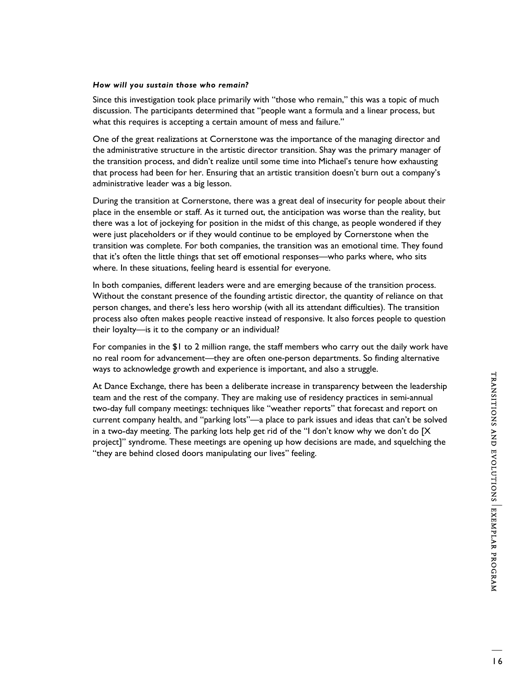## *How will you sustain those who remain?*

Since this investigation took place primarily with "those who remain," this was a topic of much discussion. The participants determined that "people want a formula and a linear process, but what this requires is accepting a certain amount of mess and failure."

One of the great realizations at Cornerstone was the importance of the managing director and the administrative structure in the artistic director transition. Shay was the primary manager of the transition process, and didn't realize until some time into Michael's tenure how exhausting that process had been for her. Ensuring that an artistic transition doesn't burn out a company's administrative leader was a big lesson.

During the transition at Cornerstone, there was a great deal of insecurity for people about their place in the ensemble or staff. As it turned out, the anticipation was worse than the reality, but there was a lot of jockeying for position in the midst of this change, as people wondered if they were just placeholders or if they would continue to be employed by Cornerstone when the transition was complete. For both companies, the transition was an emotional time. They found that it's often the little things that set off emotional responses—who parks where, who sits where. In these situations, feeling heard is essential for everyone.

In both companies, different leaders were and are emerging because of the transition process. Without the constant presence of the founding artistic director, the quantity of reliance on that person changes, and there's less hero worship (with all its attendant difficulties). The transition process also often makes people reactive instead of responsive. It also forces people to question their loyalty—is it to the company or an individual?

For companies in the \$1 to 2 million range, the staff members who carry out the daily work have no real room for advancement—they are often one-person departments. So finding alternative ways to acknowledge growth and experience is important, and also a struggle.

At Dance Exchange, there has been a deliberate increase in transparency between the leadership team and the rest of the company. They are making use of residency practices in semi-annual two-day full company meetings: techniques like "weather reports" that forecast and report on current company health, and "parking lots"—a place to park issues and ideas that can't be solved in a two-day meeting. The parking lots help get rid of the "I don't know why we don't do [X project]" syndrome. These meetings are opening up how decisions are made, and squelching the "they are behind closed doors manipulating our lives" feeling.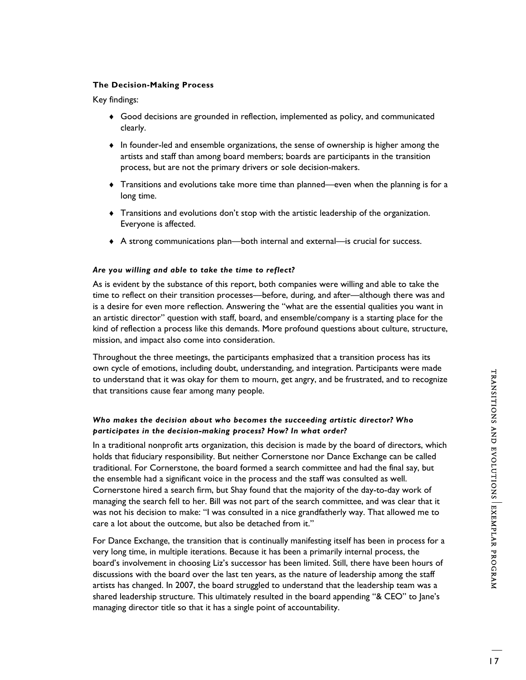## **The Decision-Making Process**

Key findings:

- ♦ Good decisions are grounded in reflection, implemented as policy, and communicated clearly.
- ♦ In founder-led and ensemble organizations, the sense of ownership is higher among the artists and staff than among board members; boards are participants in the transition process, but are not the primary drivers or sole decision-makers.
- ♦ Transitions and evolutions take more time than planned—even when the planning is for a long time.
- ♦ Transitions and evolutions don't stop with the artistic leadership of the organization. Everyone is affected.
- ♦ A strong communications plan—both internal and external—is crucial for success.

#### *Are you willing and able to take the time to reflect?*

As is evident by the substance of this report, both companies were willing and able to take the time to reflect on their transition processes—before, during, and after—although there was and is a desire for even more reflection. Answering the "what are the essential qualities you want in an artistic director" question with staff, board, and ensemble/company is a starting place for the kind of reflection a process like this demands. More profound questions about culture, structure, mission, and impact also come into consideration.

Throughout the three meetings, the participants emphasized that a transition process has its own cycle of emotions, including doubt, understanding, and integration. Participants were made to understand that it was okay for them to mourn, get angry, and be frustrated, and to recognize that transitions cause fear among many people.

# *Who makes the decision about who becomes the succeeding artistic director? Who participates in the decision-making process? How? In what order?*

In a traditional nonprofit arts organization, this decision is made by the board of directors, which holds that fiduciary responsibility. But neither Cornerstone nor Dance Exchange can be called traditional. For Cornerstone, the board formed a search committee and had the final say, but the ensemble had a significant voice in the process and the staff was consulted as well. Cornerstone hired a search firm, but Shay found that the majority of the day-to-day work of managing the search fell to her. Bill was not part of the search committee, and was clear that it was not his decision to make: "I was consulted in a nice grandfatherly way. That allowed me to care a lot about the outcome, but also be detached from it."

For Dance Exchange, the transition that is continually manifesting itself has been in process for a very long time, in multiple iterations. Because it has been a primarily internal process, the board's involvement in choosing Liz's successor has been limited. Still, there have been hours of discussions with the board over the last ten years, as the nature of leadership among the staff artists has changed. In 2007, the board struggled to understand that the leadership team was a shared leadership structure. This ultimately resulted in the board appending "& CEO" to Jane's managing director title so that it has a single point of accountability.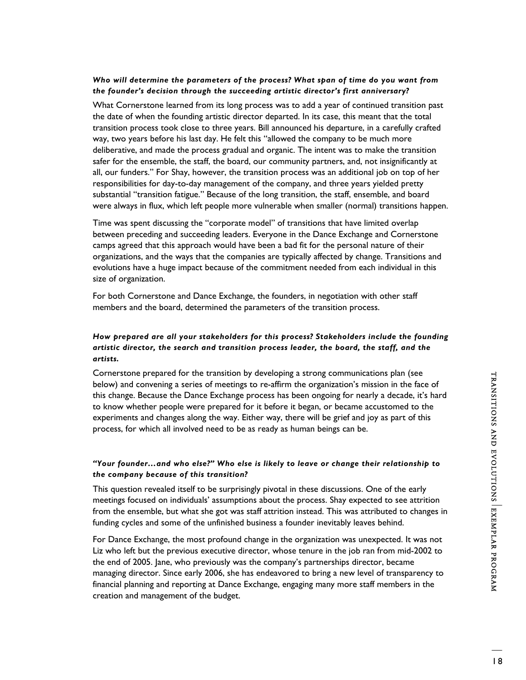# *Who will determine the parameters of the process? What span of time do you want from the founder's decision through the succeeding artistic director's first anniversary?*

What Cornerstone learned from its long process was to add a year of continued transition past the date of when the founding artistic director departed. In its case, this meant that the total transition process took close to three years. Bill announced his departure, in a carefully crafted way, two years before his last day. He felt this "allowed the company to be much more deliberative, and made the process gradual and organic. The intent was to make the transition safer for the ensemble, the staff, the board, our community partners, and, not insignificantly at all, our funders." For Shay, however, the transition process was an additional job on top of her responsibilities for day-to-day management of the company, and three years yielded pretty substantial "transition fatigue." Because of the long transition, the staff, ensemble, and board were always in flux, which left people more vulnerable when smaller (normal) transitions happen.

Time was spent discussing the "corporate model" of transitions that have limited overlap between preceding and succeeding leaders. Everyone in the Dance Exchange and Cornerstone camps agreed that this approach would have been a bad fit for the personal nature of their organizations, and the ways that the companies are typically affected by change. Transitions and evolutions have a huge impact because of the commitment needed from each individual in this size of organization.

For both Cornerstone and Dance Exchange, the founders, in negotiation with other staff members and the board, determined the parameters of the transition process.

# *How prepared are all your stakeholders for this process? Stakeholders include the founding artistic director, the search and transition process leader, the board, the staff, and the artists.*

Cornerstone prepared for the transition by developing a strong communications plan (see below) and convening a series of meetings to re-affirm the organization's mission in the face of this change. Because the Dance Exchange process has been ongoing for nearly a decade, it's hard to know whether people were prepared for it before it began, or became accustomed to the experiments and changes along the way. Either way, there will be grief and joy as part of this process, for which all involved need to be as ready as human beings can be.

# *"Your founder…and who else?" Who else is likely to leave or change their relationship to the company because of this transition?*

This question revealed itself to be surprisingly pivotal in these discussions. One of the early meetings focused on individuals' assumptions about the process. Shay expected to see attrition from the ensemble, but what she got was staff attrition instead. This was attributed to changes in funding cycles and some of the unfinished business a founder inevitably leaves behind.

For Dance Exchange, the most profound change in the organization was unexpected. It was not Liz who left but the previous executive director, whose tenure in the job ran from mid-2002 to the end of 2005. Jane, who previously was the company's partnerships director, became managing director. Since early 2006, she has endeavored to bring a new level of transparency to financial planning and reporting at Dance Exchange, engaging many more staff members in the creation and management of the budget.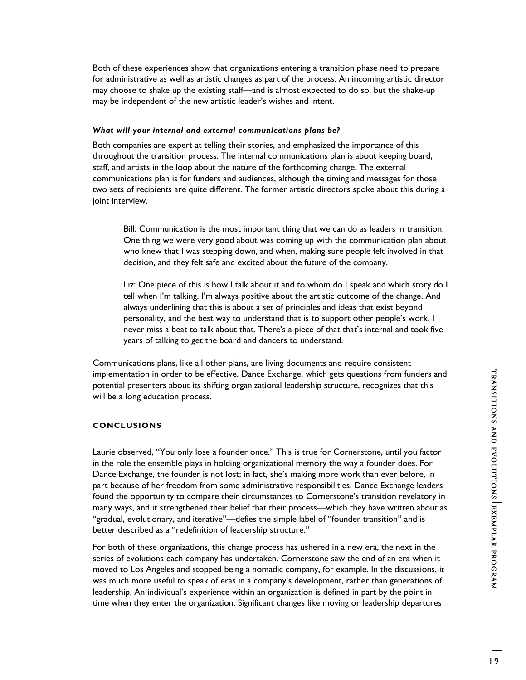Both of these experiences show that organizations entering a transition phase need to prepare for administrative as well as artistic changes as part of the process. An incoming artistic director may choose to shake up the existing staff—and is almost expected to do so, but the shake-up may be independent of the new artistic leader's wishes and intent.

## *What will your internal and external communications plans be?*

Both companies are expert at telling their stories, and emphasized the importance of this throughout the transition process. The internal communications plan is about keeping board, staff, and artists in the loop about the nature of the forthcoming change. The external communications plan is for funders and audiences, although the timing and messages for those two sets of recipients are quite different. The former artistic directors spoke about this during a joint interview.

Bill: Communication is the most important thing that we can do as leaders in transition. One thing we were very good about was coming up with the communication plan about who knew that I was stepping down, and when, making sure people felt involved in that decision, and they felt safe and excited about the future of the company.

Liz: One piece of this is how I talk about it and to whom do I speak and which story do I tell when I'm talking. I'm always positive about the artistic outcome of the change. And always underlining that this is about a set of principles and ideas that exist beyond personality, and the best way to understand that is to support other people's work. I never miss a beat to talk about that. There's a piece of that that's internal and took five years of talking to get the board and dancers to understand.

Communications plans, like all other plans, are living documents and require consistent implementation in order to be effective. Dance Exchange, which gets questions from funders and potential presenters about its shifting organizational leadership structure, recognizes that this will be a long education process.

# **CONCLUSIONS**

Laurie observed, "You only lose a founder once." This is true for Cornerstone, until you factor in the role the ensemble plays in holding organizational memory the way a founder does. For Dance Exchange, the founder is not lost; in fact, she's making more work than ever before, in part because of her freedom from some administrative responsibilities. Dance Exchange leaders found the opportunity to compare their circumstances to Cornerstone's transition revelatory in many ways, and it strengthened their belief that their process—which they have written about as "gradual, evolutionary, and iterative"—defies the simple label of "founder transition" and is better described as a "redefinition of leadership structure."

For both of these organizations, this change process has ushered in a new era, the next in the series of evolutions each company has undertaken. Cornerstone saw the end of an era when it moved to Los Angeles and stopped being a nomadic company, for example. In the discussions, it was much more useful to speak of eras in a company's development, rather than generations of leadership. An individual's experience within an organization is defined in part by the point in time when they enter the organization. Significant changes like moving or leadership departures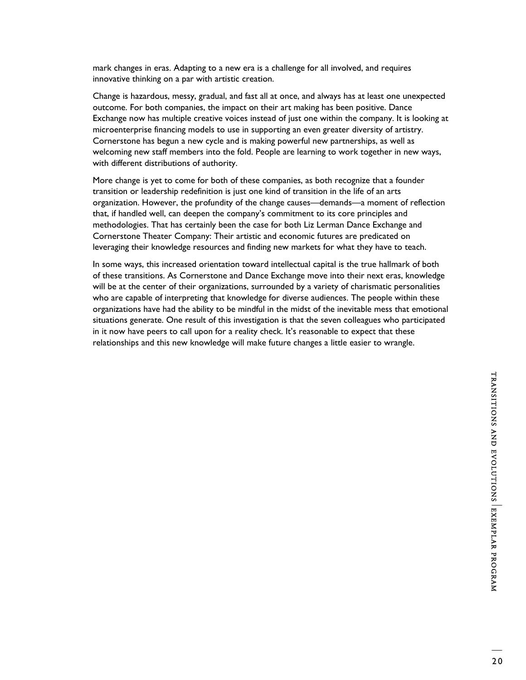mark changes in eras. Adapting to a new era is a challenge for all involved, and requires innovative thinking on a par with artistic creation.

Change is hazardous, messy, gradual, and fast all at once, and always has at least one unexpected outcome. For both companies, the impact on their art making has been positive. Dance Exchange now has multiple creative voices instead of just one within the company. It is looking at microenterprise financing models to use in supporting an even greater diversity of artistry. Cornerstone has begun a new cycle and is making powerful new partnerships, as well as welcoming new staff members into the fold. People are learning to work together in new ways, with different distributions of authority.

More change is yet to come for both of these companies, as both recognize that a founder transition or leadership redefinition is just one kind of transition in the life of an arts organization. However, the profundity of the change causes—demands—a moment of reflection that, if handled well, can deepen the company's commitment to its core principles and methodologies. That has certainly been the case for both Liz Lerman Dance Exchange and Cornerstone Theater Company: Their artistic and economic futures are predicated on leveraging their knowledge resources and finding new markets for what they have to teach.

In some ways, this increased orientation toward intellectual capital is the true hallmark of both of these transitions. As Cornerstone and Dance Exchange move into their next eras, knowledge will be at the center of their organizations, surrounded by a variety of charismatic personalities who are capable of interpreting that knowledge for diverse audiences. The people within these organizations have had the ability to be mindful in the midst of the inevitable mess that emotional situations generate. One result of this investigation is that the seven colleagues who participated in it now have peers to call upon for a reality check. It's reasonable to expect that these relationships and this new knowledge will make future changes a little easier to wrangle.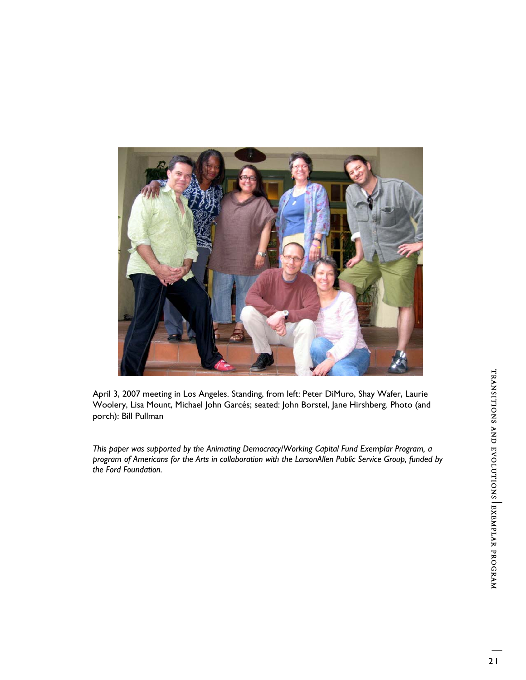

April 3, 2007 meeting in Los Angeles. Standing, from left: Peter DiMuro, Shay Wafer, Laurie Woolery, Lisa Mount, Michael John Garcés; seated: John Borstel, Jane Hirshberg. Photo (and porch): Bill Pullman

*This paper was supported by the Animating Democracy/Working Capital Fund Exemplar Program, a program of Americans for the Arts in collaboration with the LarsonAllen Public Service Group, funded by the Ford Foundation.*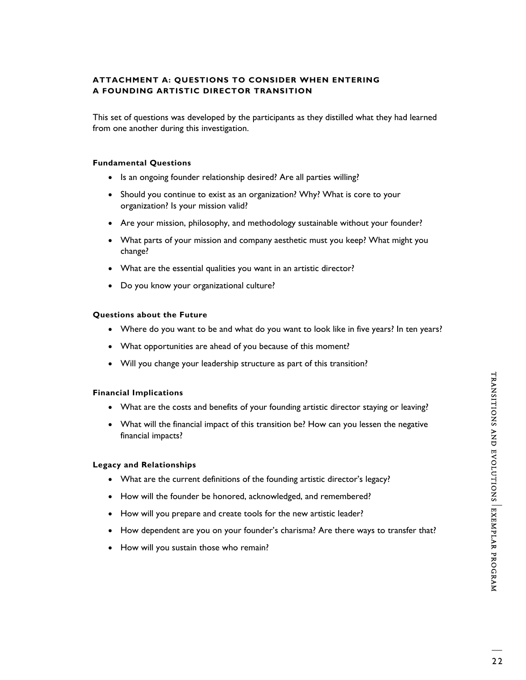# **ATTACHMENT A: QUESTIONS TO CONSIDER WHEN ENTERING A FOUNDING ARTISTIC DIRECTOR TRANSITION**

This set of questions was developed by the participants as they distilled what they had learned from one another during this investigation.

## **Fundamental Questions**

- Is an ongoing founder relationship desired? Are all parties willing?
- Should you continue to exist as an organization? Why? What is core to your organization? Is your mission valid?
- Are your mission, philosophy, and methodology sustainable without your founder?
- What parts of your mission and company aesthetic must you keep? What might you change?
- What are the essential qualities you want in an artistic director?
- Do you know your organizational culture?

## **Questions about the Future**

- Where do you want to be and what do you want to look like in five years? In ten years?
- What opportunities are ahead of you because of this moment?
- Will you change your leadership structure as part of this transition?

# **Financial Implications**

- What are the costs and benefits of your founding artistic director staying or leaving?
- What will the financial impact of this transition be? How can you lessen the negative financial impacts?

## **Legacy and Relationships**

- What are the current definitions of the founding artistic director's legacy?
- How will the founder be honored, acknowledged, and remembered?
- How will you prepare and create tools for the new artistic leader?
- How dependent are you on your founder's charisma? Are there ways to transfer that?
- How will you sustain those who remain?